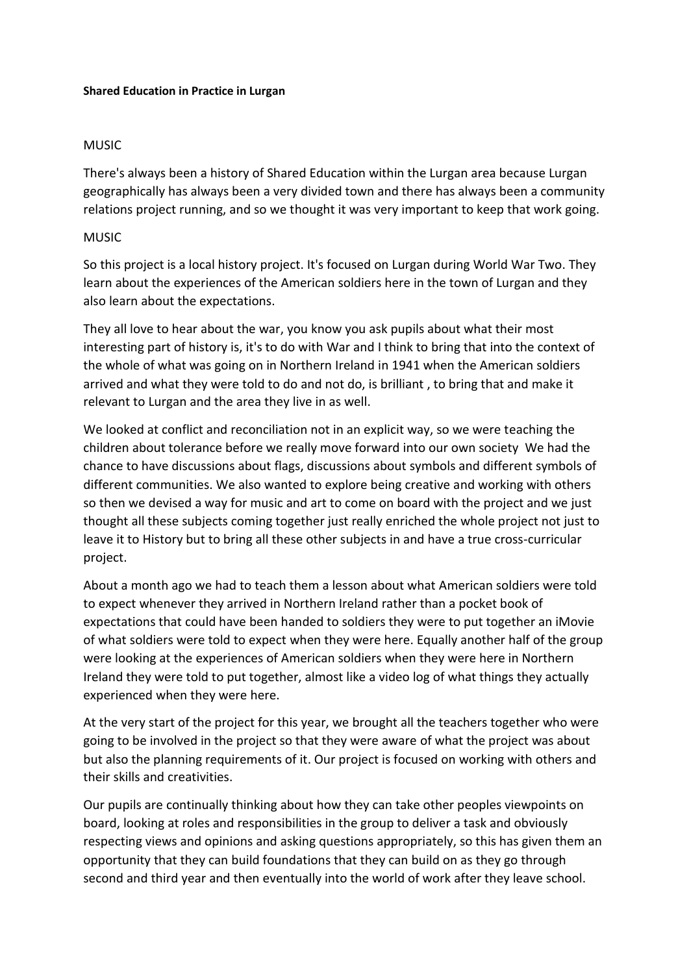## **Shared Education in Practice in Lurgan**

## MUSIC

There's always been a history of Shared Education within the Lurgan area because Lurgan geographically has always been a very divided town and there has always been a community relations project running, and so we thought it was very important to keep that work going.

## MUSIC

So this project is a local history project. It's focused on Lurgan during World War Two. They learn about the experiences of the American soldiers here in the town of Lurgan and they also learn about the expectations.

They all love to hear about the war, you know you ask pupils about what their most interesting part of history is, it's to do with War and I think to bring that into the context of the whole of what was going on in Northern Ireland in 1941 when the American soldiers arrived and what they were told to do and not do, is brilliant , to bring that and make it relevant to Lurgan and the area they live in as well.

We looked at conflict and reconciliation not in an explicit way, so we were teaching the children about tolerance before we really move forward into our own society We had the chance to have discussions about flags, discussions about symbols and different symbols of different communities. We also wanted to explore being creative and working with others so then we devised a way for music and art to come on board with the project and we just thought all these subjects coming together just really enriched the whole project not just to leave it to History but to bring all these other subjects in and have a true cross-curricular project.

About a month ago we had to teach them a lesson about what American soldiers were told to expect whenever they arrived in Northern Ireland rather than a pocket book of expectations that could have been handed to soldiers they were to put together an iMovie of what soldiers were told to expect when they were here. Equally another half of the group were looking at the experiences of American soldiers when they were here in Northern Ireland they were told to put together, almost like a video log of what things they actually experienced when they were here.

At the very start of the project for this year, we brought all the teachers together who were going to be involved in the project so that they were aware of what the project was about but also the planning requirements of it. Our project is focused on working with others and their skills and creativities.

Our pupils are continually thinking about how they can take other peoples viewpoints on board, looking at roles and responsibilities in the group to deliver a task and obviously respecting views and opinions and asking questions appropriately, so this has given them an opportunity that they can build foundations that they can build on as they go through second and third year and then eventually into the world of work after they leave school.